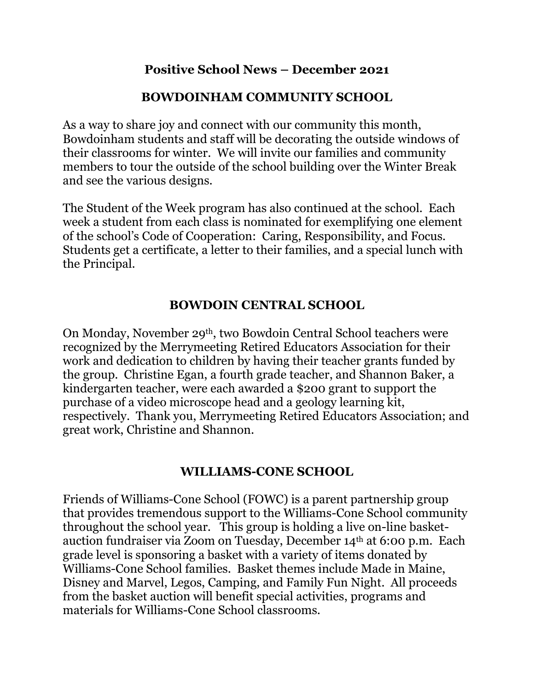## **Positive School News – December 2021**

# **BOWDOINHAM COMMUNITY SCHOOL**

As a way to share joy and connect with our community this month, Bowdoinham students and staff will be decorating the outside windows of their classrooms for winter. We will invite our families and community members to tour the outside of the school building over the Winter Break and see the various designs.

The Student of the Week program has also continued at the school. Each week a student from each class is nominated for exemplifying one element of the school's Code of Cooperation: Caring, Responsibility, and Focus. Students get a certificate, a letter to their families, and a special lunch with the Principal.

## **BOWDOIN CENTRAL SCHOOL**

On Monday, November 29th, two Bowdoin Central School teachers were recognized by the Merrymeeting Retired Educators Association for their work and dedication to children by having their teacher grants funded by the group. Christine Egan, a fourth grade teacher, and Shannon Baker, a kindergarten teacher, were each awarded a \$200 grant to support the purchase of a video microscope head and a geology learning kit, respectively. Thank you, Merrymeeting Retired Educators Association; and great work, Christine and Shannon.

#### **WILLIAMS-CONE SCHOOL**

Friends of Williams-Cone School (FOWC) is a parent partnership group that provides tremendous support to the Williams-Cone School community throughout the school year. This group is holding a live on-line basketauction fundraiser via Zoom on Tuesday, December 14th at 6:00 p.m. Each grade level is sponsoring a basket with a variety of items donated by Williams-Cone School families. Basket themes include Made in Maine, Disney and Marvel, Legos, Camping, and Family Fun Night. All proceeds from the basket auction will benefit special activities, programs and materials for Williams-Cone School classrooms.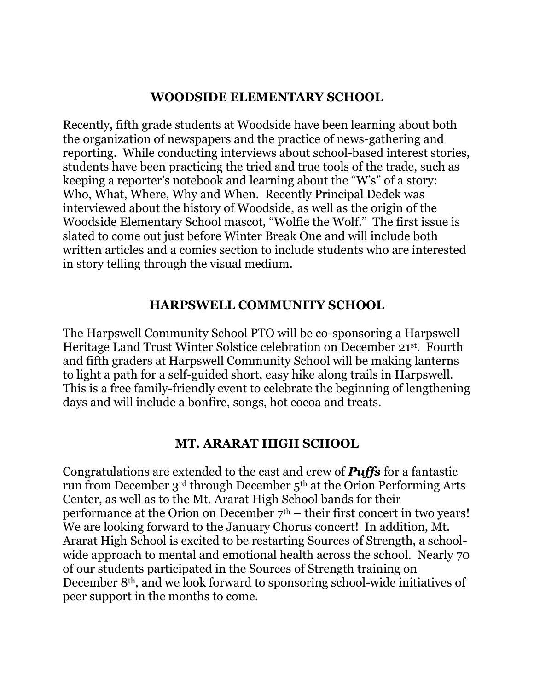## **WOODSIDE ELEMENTARY SCHOOL**

Recently, fifth grade students at Woodside have been learning about both the organization of newspapers and the practice of news-gathering and reporting. While conducting interviews about school-based interest stories, students have been practicing the tried and true tools of the trade, such as keeping a reporter's notebook and learning about the "W's" of a story: Who, What, Where, Why and When. Recently Principal Dedek was interviewed about the history of Woodside, as well as the origin of the Woodside Elementary School mascot, "Wolfie the Wolf." The first issue is slated to come out just before Winter Break One and will include both written articles and a comics section to include students who are interested in story telling through the visual medium.

#### **HARPSWELL COMMUNITY SCHOOL**

The Harpswell Community School PTO will be co-sponsoring a Harpswell Heritage Land Trust Winter Solstice celebration on December 21st. Fourth and fifth graders at Harpswell Community School will be making lanterns to light a path for a self-guided short, easy hike along trails in Harpswell. This is a free family-friendly event to celebrate the beginning of lengthening days and will include a bonfire, songs, hot cocoa and treats.

#### **MT. ARARAT HIGH SCHOOL**

Congratulations are extended to the cast and crew of *Puffs* for a fantastic run from December 3rd through December 5th at the Orion Performing Arts Center, as well as to the Mt. Ararat High School bands for their performance at the Orion on December  $7<sup>th</sup>$  – their first concert in two years! We are looking forward to the January Chorus concert! In addition, Mt. Ararat High School is excited to be restarting Sources of Strength, a schoolwide approach to mental and emotional health across the school. Nearly 70 of our students participated in the Sources of Strength training on December 8th, and we look forward to sponsoring school-wide initiatives of peer support in the months to come.